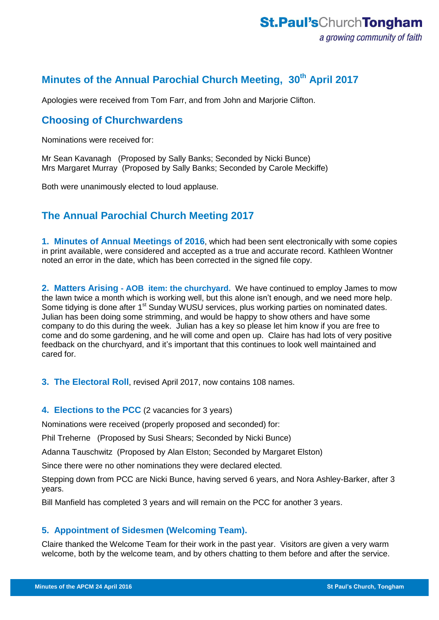# **Minutes of the Annual Parochial Church Meeting, 30th April 2017**

Apologies were received from Tom Farr, and from John and Marjorie Clifton.

# **Choosing of Churchwardens**

Nominations were received for:

Mr Sean Kavanagh (Proposed by Sally Banks; Seconded by Nicki Bunce) Mrs Margaret Murray (Proposed by Sally Banks; Seconded by Carole Meckiffe)

Both were unanimously elected to loud applause.

# **The Annual Parochial Church Meeting 2017**

**1. Minutes of Annual Meetings of 2016**, which had been sent electronically with some copies in print available, were considered and accepted as a true and accurate record. Kathleen Wontner noted an error in the date, which has been corrected in the signed file copy.

**2. Matters Arising - AOB item: the churchyard.** We have continued to employ James to mow the lawn twice a month which is working well, but this alone isn't enough, and we need more help. Some tidying is done after 1<sup>st</sup> Sunday WUSU services, plus working parties on nominated dates. Julian has been doing some strimming, and would be happy to show others and have some company to do this during the week. Julian has a key so please let him know if you are free to come and do some gardening, and he will come and open up. Claire has had lots of very positive feedback on the churchyard, and it's important that this continues to look well maintained and cared for.

**3. The Electoral Roll**, revised April 2017, now contains 108 names.

## **4. Elections to the PCC** (2 vacancies for 3 years)

Nominations were received (properly proposed and seconded) for:

Phil Treherne (Proposed by Susi Shears; Seconded by Nicki Bunce)

Adanna Tauschwitz (Proposed by Alan Elston; Seconded by Margaret Elston)

Since there were no other nominations they were declared elected.

Stepping down from PCC are Nicki Bunce, having served 6 years, and Nora Ashley-Barker, after 3 years.

Bill Manfield has completed 3 years and will remain on the PCC for another 3 years.

# **5. Appointment of Sidesmen (Welcoming Team).**

Claire thanked the Welcome Team for their work in the past year. Visitors are given a very warm welcome, both by the welcome team, and by others chatting to them before and after the service.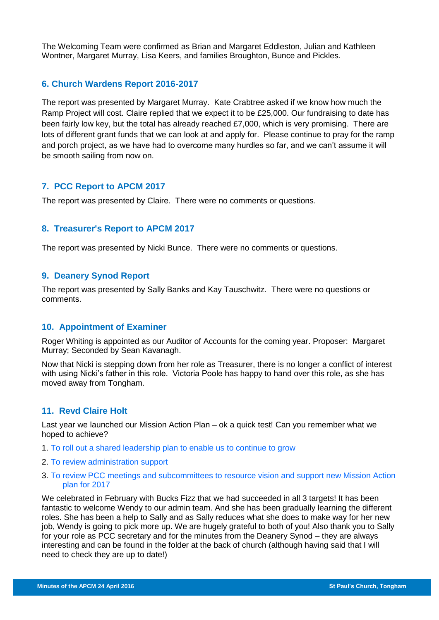The Welcoming Team were confirmed as Brian and Margaret Eddleston, Julian and Kathleen Wontner, Margaret Murray, Lisa Keers, and families Broughton, Bunce and Pickles.

# **6. Church Wardens Report 2016-2017**

The report was presented by Margaret Murray. Kate Crabtree asked if we know how much the Ramp Project will cost. Claire replied that we expect it to be £25,000. Our fundraising to date has been fairly low key, but the total has already reached £7,000, which is very promising. There are lots of different grant funds that we can look at and apply for. Please continue to pray for the ramp and porch project, as we have had to overcome many hurdles so far, and we can't assume it will be smooth sailing from now on.

## **7. PCC Report to APCM 2017**

The report was presented by Claire. There were no comments or questions.

# **8. Treasurer's Report to APCM 2017**

The report was presented by Nicki Bunce. There were no comments or questions.

#### **9. Deanery Synod Report**

The report was presented by Sally Banks and Kay Tauschwitz. There were no questions or comments.

#### **10. Appointment of Examiner**

Roger Whiting is appointed as our Auditor of Accounts for the coming year. Proposer: Margaret Murray; Seconded by Sean Kavanagh.

Now that Nicki is stepping down from her role as Treasurer, there is no longer a conflict of interest with using Nicki's father in this role. Victoria Poole has happy to hand over this role, as she has moved away from Tongham.

## **11. Revd Claire Holt**

Last year we launched our Mission Action Plan – ok a quick test! Can you remember what we hoped to achieve?

- 1. To roll out a shared leadership plan to enable us to continue to grow
- 2. To review administration support
- 3. To review PCC meetings and subcommittees to resource vision and support new Mission Action plan for 2017

We celebrated in February with Bucks Fizz that we had succeeded in all 3 targets! It has been fantastic to welcome Wendy to our admin team. And she has been gradually learning the different roles. She has been a help to Sally and as Sally reduces what she does to make way for her new job, Wendy is going to pick more up. We are hugely grateful to both of you! Also thank you to Sally for your role as PCC secretary and for the minutes from the Deanery Synod – they are always interesting and can be found in the folder at the back of church (although having said that I will need to check they are up to date!)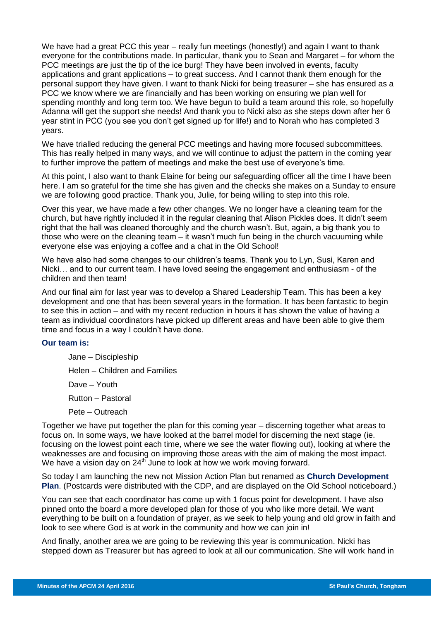We have had a great PCC this year – really fun meetings (honestly!) and again I want to thank everyone for the contributions made. In particular, thank you to Sean and Margaret – for whom the PCC meetings are just the tip of the ice burg! They have been involved in events, faculty applications and grant applications – to great success. And I cannot thank them enough for the personal support they have given. I want to thank Nicki for being treasurer – she has ensured as a PCC we know where we are financially and has been working on ensuring we plan well for spending monthly and long term too. We have begun to build a team around this role, so hopefully Adanna will get the support she needs! And thank you to Nicki also as she steps down after her 6 year stint in PCC (you see you don't get signed up for life!) and to Norah who has completed 3 years.

We have trialled reducing the general PCC meetings and having more focused subcommittees. This has really helped in many ways, and we will continue to adjust the pattern in the coming year to further improve the pattern of meetings and make the best use of everyone's time.

At this point, I also want to thank Elaine for being our safeguarding officer all the time I have been here. I am so grateful for the time she has given and the checks she makes on a Sunday to ensure we are following good practice. Thank you, Julie, for being willing to step into this role.

Over this year, we have made a few other changes. We no longer have a cleaning team for the church, but have rightly included it in the regular cleaning that Alison Pickles does. It didn't seem right that the hall was cleaned thoroughly and the church wasn't. But, again, a big thank you to those who were on the cleaning team – it wasn't much fun being in the church vacuuming while everyone else was enjoying a coffee and a chat in the Old School!

We have also had some changes to our children's teams. Thank you to Lyn, Susi, Karen and Nicki… and to our current team. I have loved seeing the engagement and enthusiasm - of the children and then team!

And our final aim for last year was to develop a Shared Leadership Team. This has been a key development and one that has been several years in the formation. It has been fantastic to begin to see this in action – and with my recent reduction in hours it has shown the value of having a team as individual coordinators have picked up different areas and have been able to give them time and focus in a way I couldn't have done.

#### **Our team is:**

Jane – Discipleship Helen – Children and Families

Dave – Youth

Rutton – Pastoral

Pete – Outreach

Together we have put together the plan for this coming year – discerning together what areas to focus on. In some ways, we have looked at the barrel model for discerning the next stage (ie. focusing on the lowest point each time, where we see the water flowing out), looking at where the weaknesses are and focusing on improving those areas with the aim of making the most impact. We have a vision day on  $24<sup>th</sup>$  June to look at how we work moving forward.

So today I am launching the new not Mission Action Plan but renamed as **Church Development Plan**. (Postcards were distributed with the CDP, and are displayed on the Old School noticeboard.)

You can see that each coordinator has come up with 1 focus point for development. I have also pinned onto the board a more developed plan for those of you who like more detail. We want everything to be built on a foundation of prayer, as we seek to help young and old grow in faith and look to see where God is at work in the community and how we can join in!

And finally, another area we are going to be reviewing this year is communication. Nicki has stepped down as Treasurer but has agreed to look at all our communication. She will work hand in